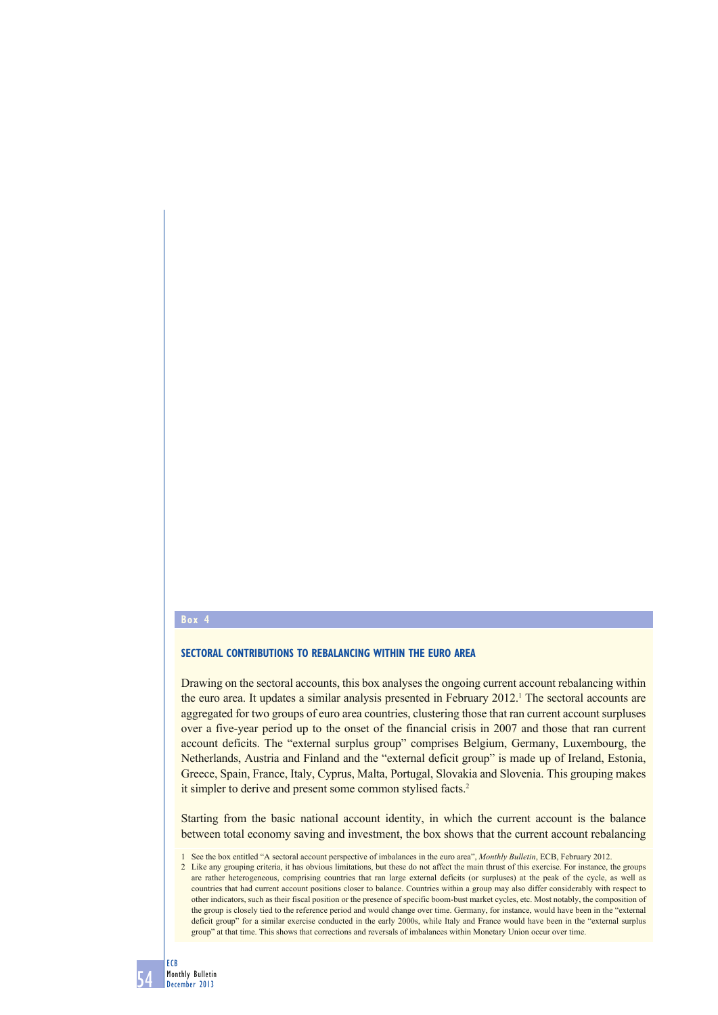#### **Box 4**

# **SECTORAL CONTRIBUTIONS TO REBALANCING WITHIN THE EURO AREA**

Drawing on the sectoral accounts, this box analyses the ongoing current account rebalancing within the euro area. It updates a similar analysis presented in February 2012.<sup>1</sup> The sectoral accounts are aggregated for two groups of euro area countries, clustering those that ran current account surpluses over a five-year period up to the onset of the financial crisis in 2007 and those that ran current account deficits. The "external surplus group" comprises Belgium, Germany, Luxembourg, the Netherlands, Austria and Finland and the "external deficit group" is made up of Ireland, Estonia, Greece, Spain, France, Italy, Cyprus, Malta, Portugal, Slovakia and Slovenia. This grouping makes it simpler to derive and present some common stylised facts.<sup>2</sup>

Starting from the basic national account identity, in which the current account is the balance between total economy saving and investment, the box shows that the current account rebalancing

1 See the box entitled "A sectoral account perspective of imbalances in the euro area", *Monthly Bulletin*, ECB, February 2012.

2 Like any grouping criteria, it has obvious limitations, but these do not affect the main thrust of this exercise. For instance, the groups are rather heterogeneous, comprising countries that ran large external deficits (or surpluses) at the peak of the cycle, as well as countries that had current account positions closer to balance. Countries within a group may also differ considerably with respect to other indicators, such as their fiscal position or the presence of specific boom-bust market cycles, etc. Most notably, the composition of the group is closely tied to the reference period and would change over time. Germany, for instance, would have been in the "external deficit group" for a similar exercise conducted in the early 2000s, while Italy and France would have been in the "external surplus" group" at that time. This shows that corrections and reversals of imbalances within Monetary Union occur over time.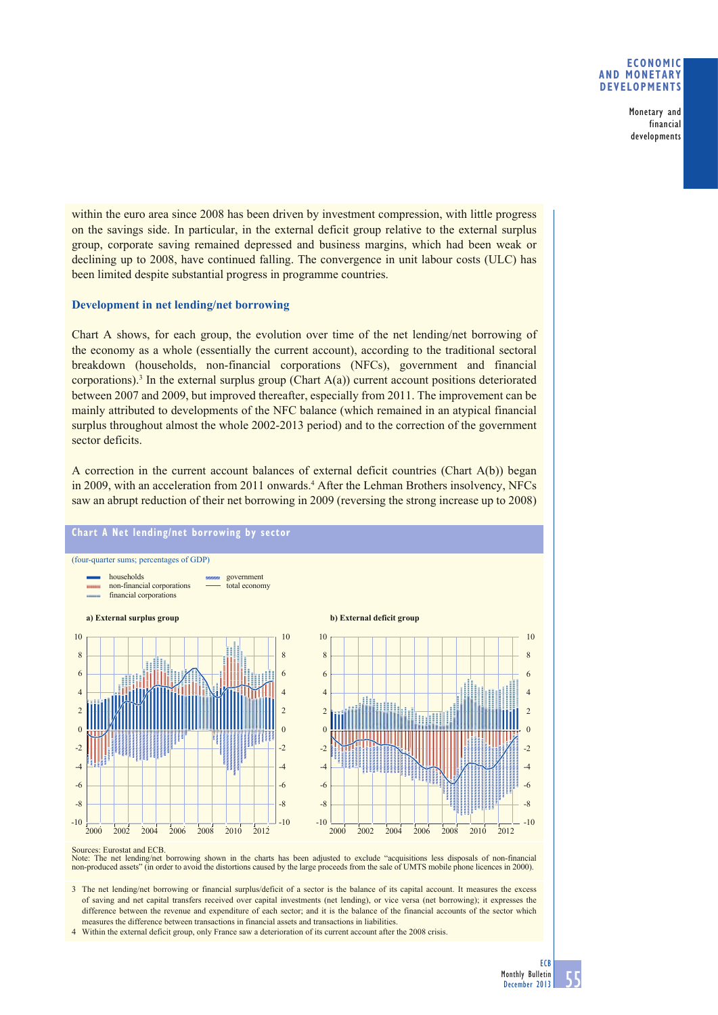## **ECONOMIC AND MONETARY DEVELOPMENTS**

Monetary and financial developments

within the euro area since 2008 has been driven by investment compression, with little progress on the savings side. In particular, in the external deficit group relative to the external surplus group, corporate saving remained depressed and business margins, which had been weak or declining up to 2008, have continued falling. The convergence in unit labour costs (ULC) has been limited despite substantial progress in programme countries.

# **Development in net lending/net borrowing**

Chart A shows, for each group, the evolution over time of the net lending/net borrowing of the economy as a whole (essentially the current account), according to the traditional sectoral breakdown (households, non-financial corporations (NFCs), government and financial corporations).<sup>3</sup> In the external surplus group (Chart  $A(a)$ ) current account positions deteriorated between 2007 and 2009, but improved thereafter, especially from 2011. The improvement can be mainly attributed to developments of the NFC balance (which remained in an atypical financial surplus throughout almost the whole 2002-2013 period) and to the correction of the government sector deficits.

A correction in the current account balances of external deficit countries (Chart A(b)) began in 2009, with an acceleration from 2011 onwards.<sup>4</sup> After the Lehman Brothers insolvency, NFCs saw an abrupt reduction of their net borrowing in 2009 (reversing the strong increase up to 2008)



Note: The net lending/net borrowing shown in the charts has been adjusted to exclude "acquisitions less disposals of non-financial non-produced assets" (in order to avoid the distortions caused by the large proceeds from t

3 The net lending/net borrowing or financial surplus/deficit of a sector is the balance of its capital account. It measures the excess of saving and net capital transfers received over capital investments (net lending), or vice versa (net borrowing); it expresses the difference between the revenue and expenditure of each sector; and it is the balance of the financial accounts of the sector which measures the difference between transactions in financial assets and transactions in liabilities.

4 Within the external deficit group, only France saw a deterioration of its current account after the 2008 crisis.

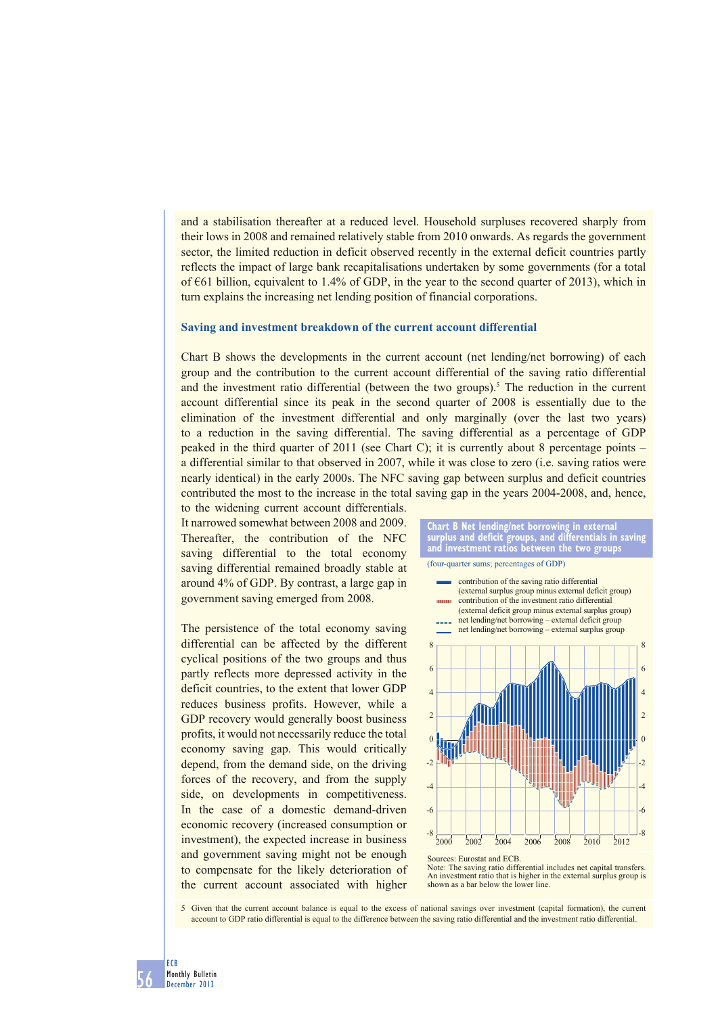and a stabilisation thereafter at a reduced level. Household surpluses recovered sharply from their lows in 2008 and remained relatively stable from 2010 onwards. As regards the government sector, the limited reduction in deficit observed recently in the external deficit countries partly reflects the impact of large bank recapitalisations undertaken by some governments (for a total of  $\epsilon$ 61 billion, equivalent to 1.4% of GDP, in the year to the second quarter of 2013), which in turn explains the increasing net lending position of financial corporations.

#### **Saving and investment breakdown of the current account differential**

Chart B shows the developments in the current account (net lending/net borrowing) of each group and the contribution to the current account differential of the saving ratio differential and the investment ratio differential (between the two groups).<sup>5</sup> The reduction in the current account differential since its peak in the second quarter of 2008 is essentially due to the elimination of the investment differential and only marginally (over the last two years) to a reduction in the saving differential. The saving differential as a percentage of GDP peaked in the third quarter of 2011 (see Chart C); it is currently about 8 percentage points – a differential similar to that observed in 2007, while it was close to zero (i.e. saving ratios were nearly identical) in the early 2000s. The NFC saving gap between surplus and deficit countries contributed the most to the increase in the total saving gap in the years 2004-2008, and, hence, to the widening current account differentials.

It narrowed somewhat between 2008 and 2009. Thereafter, the contribution of the NFC saving differential to the total economy saving differential remained broadly stable at around 4% of GDP. By contrast, a large gap in government saving emerged from 2008.

The persistence of the total economy saving differential can be affected by the different cyclical positions of the two groups and thus partly reflects more depressed activity in the deficit countries, to the extent that lower GDP reduces business profits. However, while a GDP recovery would generally boost business profits, it would not necessarily reduce the total economy saving gap. This would critically depend, from the demand side, on the driving forces of the recovery, and from the supply side, on developments in competitiveness. In the case of a domestic demand-driven economic recovery (increased consumption or investment), the expected increase in business and government saving might not be enough to compensate for the likely deterioration of the current account associated with higher



**Chart B Net lending/net borrowing in external surplus and deficit groups, and differentials in saving** 

Note: The saving ratio differential includes net capital transfers. An investment ratio that is higher in the external surplus group is shown as a bar below the lower line.

5 Given that the current account balance is equal to the excess of national savings over investment (capital formation), the current account to GDP ratio differential is equal to the difference between the saving ratio differential and the investment ratio differential.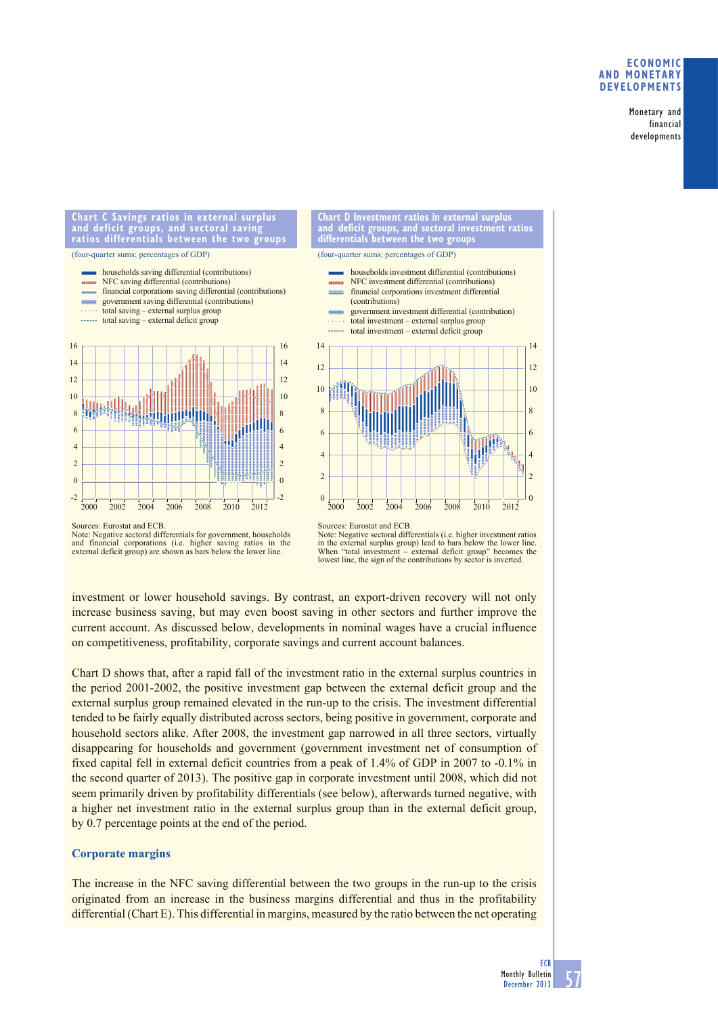## **ECONOMIC AND MONETARY DEVELOPMENTS**

Monetary and financial developments

### **Chart C Savings ratios in external surplus**  and sectora **ratios differentials between the two groups**

(four-quarter sums; percentages of GDP)







Sources: Eurostat and ECB.

Note: Negative sectoral differentials (i.e. higher investment ratios in the external surplus group) lead to bars below the lower line. When "total investment – external deficit group" becomes the When "total investment  $-$  external deficit group" becomes<br>lowest line, the sign of the contributions by sector is inverted.

investment or lower household savings. By contrast, an export-driven recovery will not only increase business saving, but may even boost saving in other sectors and further improve the current account. As discussed below, developments in nominal wages have a crucial influence on competitiveness, profitability, corporate savings and current account balances.

Chart D shows that, after a rapid fall of the investment ratio in the external surplus countries in the period 2001-2002, the positive investment gap between the external deficit group and the external surplus group remained elevated in the run-up to the crisis. The investment differential tended to be fairly equally distributed across sectors, being positive in government, corporate and household sectors alike. After 2008, the investment gap narrowed in all three sectors, virtually disappearing for households and government (government investment net of consumption of fixed capital fell in external deficit countries from a peak of 1.4% of GDP in 2007 to -0.1% in the second quarter of 2013). The positive gap in corporate investment until 2008, which did not seem primarily driven by profitability differentials (see below), afterwards turned negative, with a higher net investment ratio in the external surplus group than in the external deficit group, by 0.7 percentage points at the end of the period.

# **Corporate margins**

The increase in the NFC saving differential between the two groups in the run-up to the crisis originated from an increase in the business margins differential and thus in the profitability differential (Chart E). This differential in margins, measured by the ratio between the net operating

Sources: Eurostat and ECB.

Note: Negative sectoral differentials for government, households and financial corporations (i.e. higher saving ratios in the external deficit group) are shown as bars below the lower line.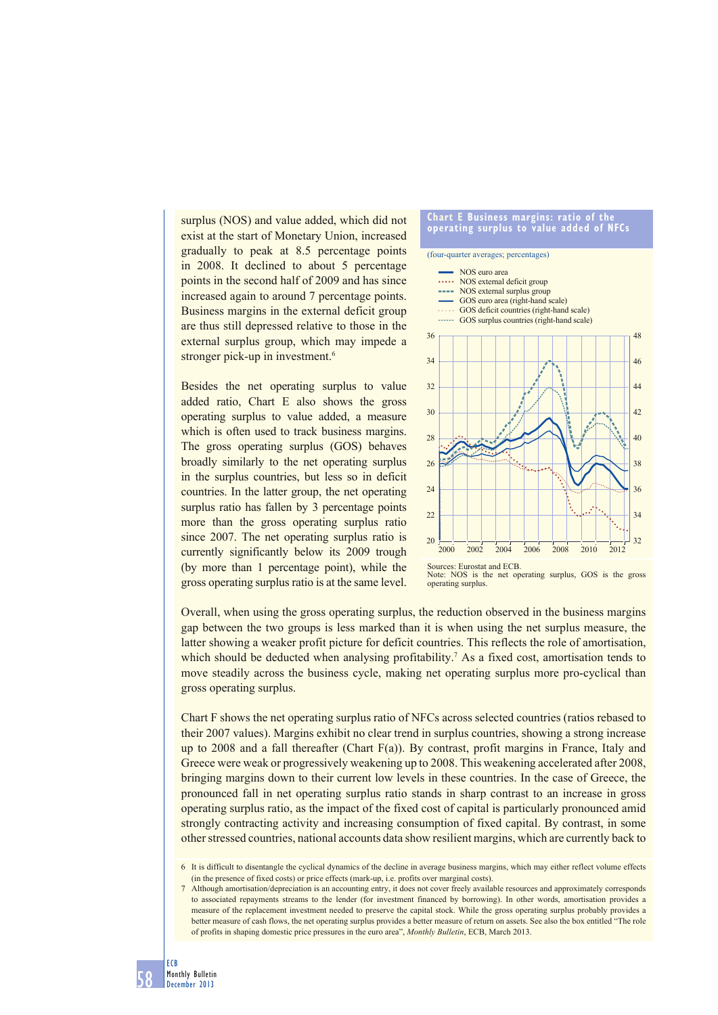surplus (NOS) and value added, which did not exist at the start of Monetary Union, increased gradually to peak at 8.5 percentage points in 2008. It declined to about 5 percentage points in the second half of 2009 and has since increased again to around 7 percentage points. Business margins in the external deficit group are thus still depressed relative to those in the external surplus group, which may impede a stronger pick-up in investment.<sup>6</sup>

Besides the net operating surplus to value added ratio, Chart E also shows the gross operating surplus to value added, a measure which is often used to track business margins. The gross operating surplus (GOS) behaves broadly similarly to the net operating surplus in the surplus countries, but less so in deficit countries. In the latter group, the net operating surplus ratio has fallen by 3 percentage points more than the gross operating surplus ratio since 2007. The net operating surplus ratio is currently significantly below its 2009 trough (by more than 1 percentage point), while the gross operating surplus ratio is at the same level.





Overall, when using the gross operating surplus, the reduction observed in the business margins gap between the two groups is less marked than it is when using the net surplus measure, the latter showing a weaker profit picture for deficit countries. This reflects the role of amortisation, which should be deducted when analysing profitability.<sup>7</sup> As a fixed cost, amortisation tends to move steadily across the business cycle, making net operating surplus more pro-cyclical than gross operating surplus.

Chart F shows the net operating surplus ratio of NFCs across selected countries (ratios rebased to their 2007 values). Margins exhibit no clear trend in surplus countries, showing a strong increase up to 2008 and a fall thereafter (Chart F(a)). By contrast, profit margins in France, Italy and Greece were weak or progressively weakening up to 2008. This weakening accelerated after 2008, bringing margins down to their current low levels in these countries. In the case of Greece, the pronounced fall in net operating surplus ratio stands in sharp contrast to an increase in gross operating surplus ratio, as the impact of the fixed cost of capital is particularly pronounced amid strongly contracting activity and increasing consumption of fixed capital. By contrast, in some other stressed countries, national accounts data show resilient margins, which are currently back to

<sup>6</sup> It is difficult to disentangle the cyclical dynamics of the decline in average business margins, which may either reflect volume effects (in the presence of fixed costs) or price effects (mark-up, i.e. profits over marginal costs).

<sup>7</sup> Although amortisation/depreciation is an accounting entry, it does not cover freely available resources and approximately corresponds to associated repayments streams to the lender (for investment financed by borrowing). In other words, amortisation provides a measure of the replacement investment needed to preserve the capital stock. While the gross operating surplus probably provides a better measure of cash flows, the net operating surplus provides a better measure of return on assets. See also the box entitled "The role of profits in shaping domestic price pressures in the euro area", *Monthly Bulletin*, ECB, March 2013.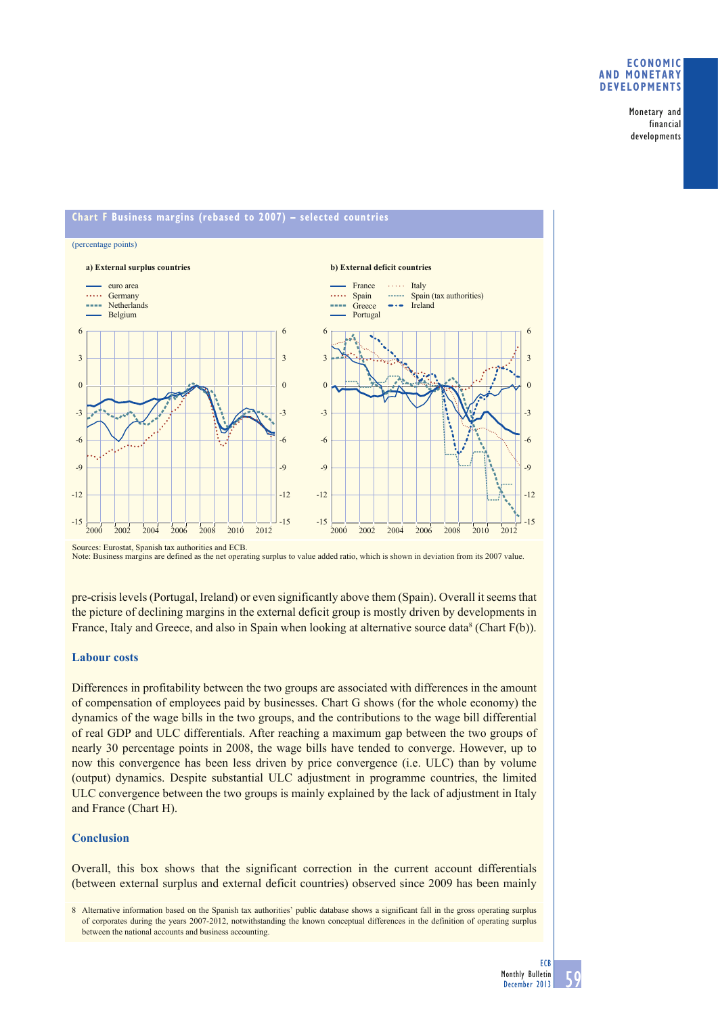## **ECONOMIC AND MONETARY DEVELOPMENTS**

Monetary and financial developments



Sources: Eurostat, Spanish tax authorities and ECB. Note: Business margins are defined as the net operating surplus to value added ratio, which is shown in deviation from its 2007 value.

pre-crisis levels (Portugal, Ireland) or even significantly above them (Spain). Overall it seems that the picture of declining margins in the external deficit group is mostly driven by developments in France, Italy and Greece, and also in Spain when looking at alternative source data<sup>8</sup> (Chart  $F(b)$ ).

# **Labour costs**

Differences in profitability between the two groups are associated with differences in the amount of compensation of employees paid by businesses. Chart G shows (for the whole economy) the dynamics of the wage bills in the two groups, and the contributions to the wage bill differential of real GDP and ULC differentials. After reaching a maximum gap between the two groups of nearly 30 percentage points in 2008, the wage bills have tended to converge. However, up to now this convergence has been less driven by price convergence (i.e. ULC) than by volume (output) dynamics. Despite substantial ULC adjustment in programme countries, the limited ULC convergence between the two groups is mainly explained by the lack of adjustment in Italy and France (Chart H).

# **Conclusion**

Overall, this box shows that the significant correction in the current account differentials (between external surplus and external deficit countries) observed since 2009 has been mainly

8 Alternative information based on the Spanish tax authorities' public database shows a significant fall in the gross operating surplus of corporates during the years 2007-2012, notwithstanding the known conceptual differences in the definition of operating surplus between the national accounts and business accounting.